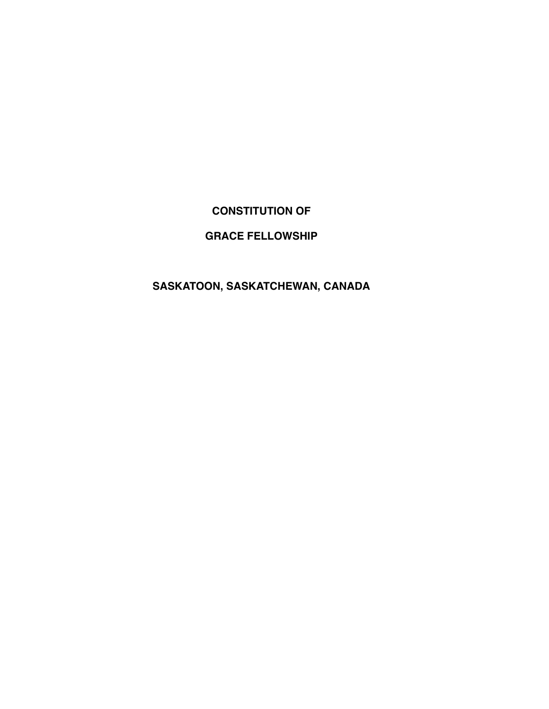## **CONSTITUTION OF**

## **GRACE FELLOWSHIP**

## **SASKATOON, SASKATCHEWAN, CANADA**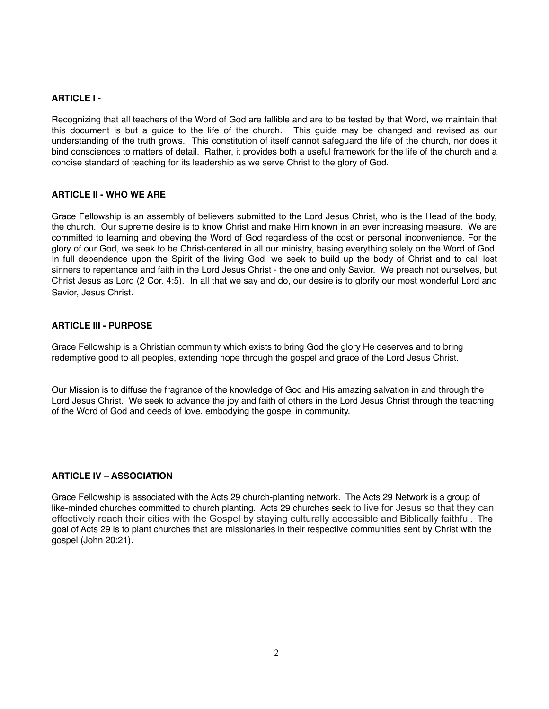## **ARTICLE I -**

Recognizing that all teachers of the Word of God are fallible and are to be tested by that Word, we maintain that this document is but a guide to the life of the church. This guide may be changed and revised as our understanding of the truth grows. This constitution of itself cannot safeguard the life of the church, nor does it bind consciences to matters of detail. Rather, it provides both a useful framework for the life of the church and a concise standard of teaching for its leadership as we serve Christ to the glory of God.

### **ARTICLE II - WHO WE ARE**

Grace Fellowship is an assembly of believers submitted to the Lord Jesus Christ, who is the Head of the body, the church. Our supreme desire is to know Christ and make Him known in an ever increasing measure. We are committed to learning and obeying the Word of God regardless of the cost or personal inconvenience. For the glory of our God, we seek to be Christ-centered in all our ministry, basing everything solely on the Word of God. In full dependence upon the Spirit of the living God, we seek to build up the body of Christ and to call lost sinners to repentance and faith in the Lord Jesus Christ - the one and only Savior. We preach not ourselves, but Christ Jesus as Lord (2 Cor. 4:5). In all that we say and do, our desire is to glorify our most wonderful Lord and Savior, Jesus Christ.

### **ARTICLE III - PURPOSE**

Grace Fellowship is a Christian community which exists to bring God the glory He deserves and to bring redemptive good to all peoples, extending hope through the gospel and grace of the Lord Jesus Christ.

Our Mission is to diffuse the fragrance of the knowledge of God and His amazing salvation in and through the Lord Jesus Christ. We seek to advance the joy and faith of others in the Lord Jesus Christ through the teaching of the Word of God and deeds of love, embodying the gospel in community.

## **ARTICLE IV – ASSOCIATION**

Grace Fellowship is associated with the Acts 29 church-planting network. The Acts 29 Network is a group of like-minded churches committed to church planting. Acts 29 churches seek to live for Jesus so that they can effectively reach their cities with the Gospel by staying culturally accessible and Biblically faithful. The goal of Acts 29 is to plant churches that are missionaries in their respective communities sent by Christ with the gospel (John 20:21).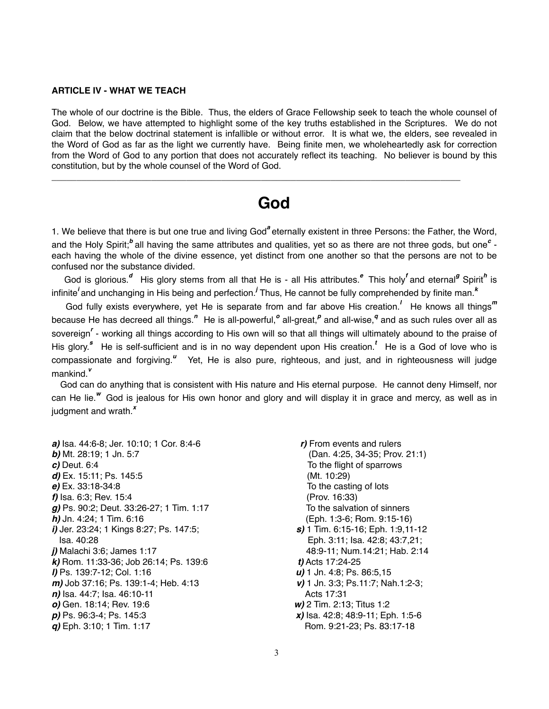### **ARTICLE IV - WHAT WE TEACH**

The whole of our doctrine is the Bible. Thus, the elders of Grace Fellowship seek to teach the whole counsel of God. Below, we have attempted to highlight some of the key truths established in the Scriptures. We do not claim that the below doctrinal statement is infallible or without error. It is what we, the elders, see revealed in the Word of God as far as the light we currently have. Being finite men, we wholeheartedly ask for correction from the Word of God to any portion that does not accurately reflect its teaching. No believer is bound by this constitution, but by the whole counsel of the Word of God.

## **God**

\_\_\_\_\_\_\_\_\_\_\_\_\_\_\_\_\_\_\_\_\_\_\_\_\_\_\_\_\_\_\_\_\_\_\_\_\_\_\_\_\_\_\_\_\_\_\_\_\_\_\_\_\_\_\_\_\_\_\_\_\_\_\_\_\_\_\_\_\_\_\_\_\_\_\_\_\_\_\_\_\_\_

1. We believe that there is but one true and living God*<sup>a</sup>* eternally existent in three Persons: the Father, the Word, and the Holy Spirit;<sup>b</sup> all having the same attributes and qualities, yet so as there are not three gods, but one<sup>c</sup> each having the whole of the divine essence, yet distinct from one another so that the persons are not to be confused nor the substance divided.

God is glorious.<sup>d</sup> His glory stems from all that He is - all His attributes.<sup>e</sup> This holy<sup>f</sup> and eternal<sup>g</sup> Spirit<sup>h</sup> is infinite*<sup>i</sup>* and unchanging in His being and perfection.*<sup>j</sup>* Thus, He cannot be fully comprehended by finite man.*<sup>k</sup>*

 God fully exists everywhere, yet He is separate from and far above His creation.*<sup>l</sup>* He knows all things*<sup>m</sup>* because He has decreed all things.<sup>"</sup> He is all-powerful,<sup>o</sup> all-great,<sup>p</sup> and all-wise,<sup>q</sup> and as such rules over all as sovereign<sup>'</sup> - working all things according to His own will so that all things will ultimately abound to the praise of His glory.<sup>8</sup> He is self-sufficient and is in no way dependent upon His creation.<sup>t</sup> He is a God of love who is compassionate and forgiving.<sup>u</sup> Yet, He is also pure, righteous, and just, and in righteousness will judge mankind.*<sup>v</sup>*

 God can do anything that is consistent with His nature and His eternal purpose. He cannot deny Himself, nor can He lie.*<sup>w</sup>* God is jealous for His own honor and glory and will display it in grace and mercy, as well as in judgment and wrath.*<sup>x</sup>*

*a)* Isa. 44:6-8; Jer. 10:10; 1 Cor. 8:4-6 *r)* From events and rulers *b)* Mt. 28:19; 1 Jn. 5:7 (Dan. 4:25, 34-35; Prov. 21:1) *c*) Deut. 6:4 To the flight of sparrows *d)* Ex. 15:11; Ps. 145:5 (Mt. 10:29) *e)* Ex. 33:18-34:8 To the casting of lots *f)* Isa. 6:3; Rev. 15:4 (Prov. 16:33) *g*) Ps. 90:2; Deut. 33:26-27; 1 Tim. 1:17 To the salvation of sinners *h)* Jn. 4:24; 1 Tim. 6:16 (Eph. 1:3-6; Rom. 9:15-16) *i)* Jer. 23:24; 1 Kings 8:27; Ps. 147:5; *s)* 1 Tim. 6:15-16; Eph. 1:9,11-12 Isa. 40:28 Eph. 3:11; Isa. 42:8; 43:7,21; *j)* Malachi 3:6; James 1:17 48:9-11; Num.14:21; Hab. 2:14 *k)* Rom. 11:33-36; Job 26:14; Ps. 139:6 *t)* Acts 17:24-25 *l)* Ps. 139:7-12; Col. 1:16 *u)* 1 Jn. 4:8; Ps. 86:5,15 *m)* Job 37:16; Ps. 139:1-4; Heb. 4:13 *v)* 1 Jn. 3:3; Ps.11:7; Nah.1:2-3; *n*) Isa. 44:7; Isa. 46:10-11 Acts 17:31 *o)* Gen. 18:14; Rev. 19:6 *w)* 2 Tim. 2:13; Titus 1:2 *p)* Ps. 96:3-4; Ps. 145:3 *x)* Isa. 42:8; 48:9-11; Eph. 1:5-6 *g*) Eph. 3:10; 1 Tim. 1:17 Rom. 9:21-23; Ps. 83:17-18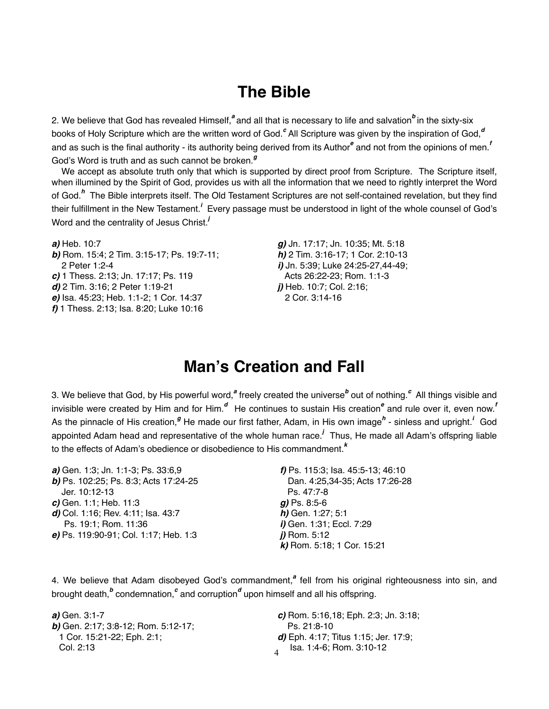# **The Bible**

2. We believe that God has revealed Himself,<sup>a</sup> and all that is necessary to life and salvation<sup>b</sup> in the sixty-six books of Holy Scripture which are the written word of God.<sup>c</sup> All Scripture was given by the inspiration of God,<sup>d</sup> and as such is the final authority - its authority being derived from its Author*<sup>e</sup>* and not from the opinions of men.*<sup>f</sup>* God's Word is truth and as such cannot be broken.*<sup>g</sup>*

 We accept as absolute truth only that which is supported by direct proof from Scripture. The Scripture itself, when illumined by the Spirit of God, provides us with all the information that we need to rightly interpret the Word of God.*<sup>h</sup>* The Bible interprets itself. The Old Testament Scriptures are not self-contained revelation, but they find their fulfillment in the New Testament.<sup>*i*</sup> Every passage must be understood in light of the whole counsel of God's Word and the centrality of Jesus Christ.*<sup>j</sup>*

*a*) Heb. 10:7 " " **g)** Jn. 17:17; Jn. 10:35; Mt. 5:18 *b)* Rom. 15:4; 2 Tim. 3:15-17; Ps. 19:7-11; " " *h)* 2 Tim. 3:16-17; 1 Cor. 2:10-13 2 Peter 1:2-4 "" " *i)* Jn. 5:39; Luke 24:25-27,44-49; *c)* 1 Thess. 2:13; Jn. 17:17; Ps. 119 " " Acts 26:22-23; Rom. 1:1-3 *d*) 2 Tim. 3:16; 2 Peter 1:19-21 *j)* Heb. 10:7; Col. 2:16; *e*) Isa. 45:23; Heb. 1:1-2; 1 Cor. 14:37 2 Cor. 3:14-16 *f)* 1 Thess. 2:13; Isa. 8:20; Luke 10:16

# **Man's Creation and Fall**

3. We believe that God, by His powerful word,<sup>a</sup> freely created the universe<sup>b</sup> out of nothing.<sup>c</sup> All things visible and invisible were created by Him and for Him.<sup>d</sup> He continues to sustain His creation<sup>e</sup> and rule over it, even now.<sup>*f*</sup> As the pinnacle of His creation,<sup>g</sup> He made our first father, Adam, in His own image<sup>h</sup> - sinless and upright.<sup>*i*</sup> God appointed Adam head and representative of the whole human race.*<sup>j</sup>* Thus, He made all Adam's offspring liable to the effects of Adam's obedience or disobedience to His commandment.*<sup>k</sup>*

| a) Gen. 1:3; Jn. 1:1-3; Ps. 33:6,9    | f) Ps. 115:3; Isa. 45:5-13; 46:10 |
|---------------------------------------|-----------------------------------|
| b) Ps. 102:25; Ps. 8:3; Acts 17:24-25 | Dan. 4:25,34-35; Acts 17:26-28    |
| Jer. 10:12-13                         | Ps. 47:7-8                        |
| $c$ ) Gen. 1:1; Heb. 11:3             | $g$ ) Ps. 8:5-6                   |
| d) Col. 1:16; Rev. 4:11; Isa. 43:7    | $h$ ) Gen. 1:27; 5:1              |
| Ps. 19:1; Rom. 11:36                  | <i>i)</i> Gen. 1:31; Eccl. 7:29   |
| e) Ps. 119:90-91; Col. 1:17; Heb. 1:3 | $i)$ Rom. 5:12                    |
|                                       | k) Rom. 5:18; 1 Cor. 15:21        |

4. We believe that Adam disobeyed God's commandment,<sup>a</sup> fell from his original righteousness into sin, and brought death,<sup>b</sup> condemnation,<sup>c</sup> and corruption<sup>d</sup> upon himself and all his offspring.

**b)** Gen. 2:17; 3:8-12; Rom. 5:12-17; "The Ps. 21:8-10 Col. 2:13 " " " " Isa. 1:4-6; Rom. 3:10-12

4 *a)* Gen. 3:1-7 " " " " *c)* Rom. 5:16,18; Eph. 2:3; Jn. 3:18; 1 Cor. 15:21-22; Eph. 2:1; " " " *d)* Eph. 4:17; Titus 1:15; Jer. 17:9;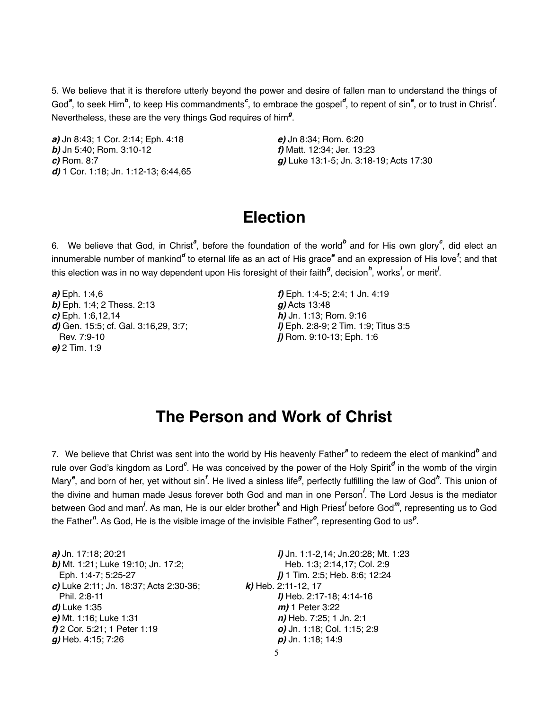5. We believe that it is therefore utterly beyond the power and desire of fallen man to understand the things of God<sup>a</sup>, to seek Him<sup>b</sup>, to keep His commandments<sup>c</sup>, to embrace the gospel<sup>d</sup>, to repent of sin<sup>e</sup>, or to trust in Christ<sup>*f*</sup>. Nevertheless, these are the very things God requires of him<sup>g</sup>.

*a)* Jn 8:43; 1 Cor. 2:14; Eph. 4:18 **! ! !** *e)* Jn 8:34; Rom. 6:20 *b)* Jn 5:40; Rom. 3:10-12 " " " *f)* Matt. 12:34; Jer. 13:23 *d)* 1 Cor. 1:18; Jn. 1:12-13; 6:44,65

*c)* Rom. 8:7 " " " " *g)* Luke 13:1-5; Jn. 3:18-19; Acts 17:30

# **Election**

6. We believe that God, in Christ<sup>a</sup>, before the foundation of the world<sup>b</sup> and for His own glory<sup>c</sup>, did elect an innumerable number of mankind<sup>a</sup> to eternal life as an act of His grace<sup>e</sup> and an expression of His love<sup>f</sup>; and that this election was in no way dependent upon His foresight of their faith<sup>g</sup>, decision<sup>h</sup>, works<sup>*i*</sup>, or merit<sup>*i*</sup>.

**a)** Eph. 1:4,6 *f)* Eph. 1:4-5; 2:4; 1 Jn. 4:19 **b)** Eph. 1:4; 2 Thess. 2:13 **g)** Acts 13:48 **c)** Eph. 1:6,12,14 *h***)** Jn. 1:13; Rom. 9:16 *d*) Gen. 15:5; cf. Gal. 3:16,29, 3:7; *i***)** Eph. 2:8-9; 2 Tim. 1:9; Titus 3:5 Rev. 7:9-10 " " " " *j)* Rom. 9:10-13; Eph. 1:6 *e)* 2 Tim. 1:9

# **The Person and Work of Christ**

7. We believe that Christ was sent into the world by His heavenly Father<sup>a</sup> to redeem the elect of mankind<sup>b</sup> and rule over God's kingdom as Lord<sup>c</sup>. He was conceived by the power of the Holy Spirit<sup>d</sup> in the womb of the virgin Mary<sup>e</sup>, and born of her, yet without sin<sup>f</sup>. He lived a sinless life<sup>g</sup>, perfectly fulfilling the law of God<sup>h</sup>. This union of the divine and human made Jesus forever both God and man in one Person*<sup>i</sup>* . The Lord Jesus is the mediator between God and man<sup>*l*</sup>. As man, He is our elder brother<sup>k</sup> and High Priest<sup>*l*</sup> before God<sup>m</sup>, representing us to God the Father<sup>n</sup>. As God, He is the visible image of the invisible Father<sup>o</sup>, representing God to us<sup>p</sup>.

| a) Jn. 17:18; 20:21<br>b) Mt. 1:21; Luke 19:10; Jn. 17:2; | <i>i</i> ) Jn. 1:1-2,14; Jn.20:28; Mt. 1:23<br>Heb. 1:3; 2:14,17; Col. 2:9 |
|-----------------------------------------------------------|----------------------------------------------------------------------------|
| Eph. 1:4-7; 5:25-27                                       | $j$ ) 1 Tim. 2:5; Heb. 8:6; 12:24                                          |
| c) Luke 2:11; Jn. 18:37; Acts 2:30-36;                    | $k$ ) Heb. 2:11-12, 17                                                     |
| Phil. 2:8-11                                              | I) Heb. 2:17-18; 4:14-16                                                   |
| d) Luke 1:35                                              | $m$ ) 1 Peter 3:22                                                         |
| e) Mt. 1:16; Luke 1:31                                    | n) Heb. 7:25; 1 Jn. 2:1                                                    |
| f) 2 Cor. 5:21; 1 Peter 1:19                              | o) Jn. 1:18; Col. 1:15; 2:9                                                |
| $g$ ) Heb. 4:15; 7:26                                     | $p$ ) Jn. 1:18; 14:9                                                       |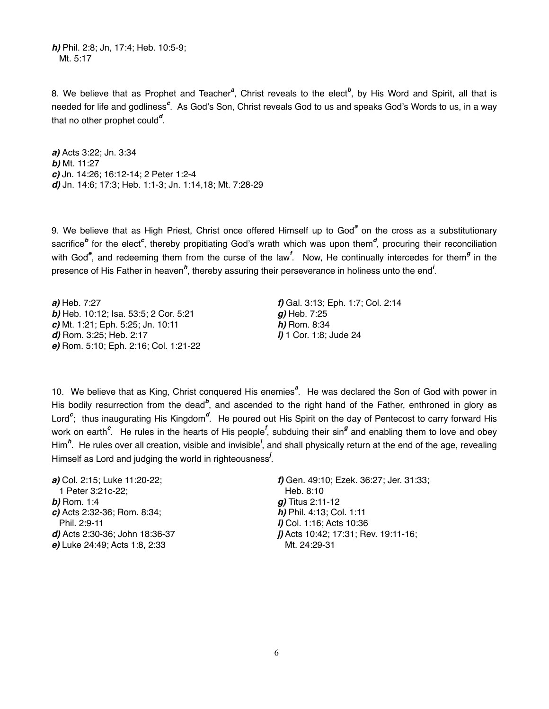*h)* Phil. 2:8; Jn, 17:4; Heb. 10:5-9; Mt. 5:17

8. We believe that as Prophet and Teacher<sup>a</sup>, Christ reveals to the elect<sup>b</sup>, by His Word and Spirit, all that is needed for life and godliness<sup>c</sup>. As God's Son, Christ reveals God to us and speaks God's Words to us, in a way that no other prophet could*<sup>d</sup>* .

*a)* Acts 3:22; Jn. 3:34 *b)* Mt. 11:27 *c)* Jn. 14:26; 16:12-14; 2 Peter 1:2-4 *d)* Jn. 14:6; 17:3; Heb. 1:1-3; Jn. 1:14,18; Mt. 7:28-29

9. We believe that as High Priest, Christ once offered Himself up to God<sup>a</sup> on the cross as a substitutionary sacrifice<sup>b</sup> for the elect<sup>c</sup>, thereby propitiating God's wrath which was upon them<sup>d</sup>, procuring their reconciliation with God<sup>e</sup>, and redeeming them from the curse of the law<sup>f</sup>. Now, He continually intercedes for them<sup>g</sup> in the presence of His Father in heaven<sup>h</sup>, thereby assuring their perseverance in holiness unto the end<sup>'</sup>.

*a*) Heb. 7:27 *f***)** Gal. 3:13; Eph. 1:7; Col. 2:14 **b)** Heb. 10:12; Isa. 53:5; 2 Cor. 5:21 **g)** Heb. 7:25 *c*) Mt. 1:21; Eph. 5:25; Jn. 10:11 *h***)** Rom. 8:34 *d*) Rom. 3:25; Heb. 2:17 *i***)** 1 Cor. 1:8; Jude 24 *e)* Rom. 5:10; Eph. 2:16; Col. 1:21-22

10. We believe that as King, Christ conquered His enemies<sup>a</sup>. He was declared the Son of God with power in His bodily resurrection from the dead<sup>b</sup>, and ascended to the right hand of the Father, enthroned in glory as Lord<sup>c</sup>; thus inaugurating His Kingdom<sup>d</sup>. He poured out His Spirit on the day of Pentecost to carry forward His work on earth<sup>e</sup>. He rules in the hearts of His people<sup>f</sup>, subduing their sin<sup>g</sup> and enabling them to love and obey Him<sup>h</sup>. He rules over all creation, visible and invisible<sup>*i*</sup>, and shall physically return at the end of the age, revealing Himself as Lord and judging the world in righteousness*<sup>j</sup>* .

1 Peter 3:21c-22; " " " " Heb. 8:10 **b)** Rom. 1:4 **g)** Titus 2:11-12 *c)* Acts 2:32-36; Rom. 8:34; " " " *h)* Phil. 4:13; Col. 1:11 Phil. 2:9-11 " " " " *i)* Col. 1:16; Acts 10:36 *e*) Luke 24:49; Acts 1:8, 2:33 Mt. 24:29-31

*a*) Col. 2:15; Luke 11:20-22; **"** f) Gen. 49:10; Ezek. 36:27; Jer. 31:33; *d*) Acts 2:30-36; John 18:36-37 *j)* Acts 10:42; 17:31; Rev. 19:11-16;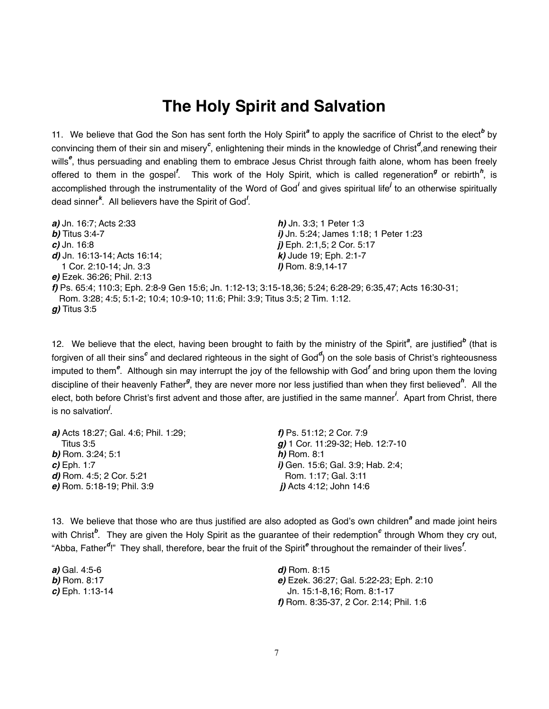# **The Holy Spirit and Salvation**

11. We believe that God the Son has sent forth the Holy Spirit<sup>a</sup> to apply the sacrifice of Christ to the elect<sup>b</sup> by convincing them of their sin and misery<sup>c</sup>, enlightening their minds in the knowledge of Christ<sup>d</sup>,and renewing their wills*<sup>e</sup>* , thus persuading and enabling them to embrace Jesus Christ through faith alone, whom has been freely offered to them in the gospel<sup>f</sup>. This work of the Holy Spirit, which is called regeneration<sup>g</sup> or rebirth<sup>h</sup>, is accomplished through the instrumentality of the Word of God<sup>*i*</sup> and gives spiritual life<sup>*i*</sup> to an otherwise spiritually dead sinner*<sup>k</sup>* . All believers have the Spirit of God*<sup>l</sup>* .

| <i>a)</i> Jn. 16:7; Acts 2:33                                                  | $h$ ) Jn. 3:3; 1 Peter 1:3                                                                               |
|--------------------------------------------------------------------------------|----------------------------------------------------------------------------------------------------------|
| <b><i>b</i></b> ) Titus 3:4-7                                                  | <i>i</i> ) Jn. 5:24; James 1:18; 1 Peter 1:23                                                            |
| $c$ ) Jn. 16:8                                                                 | $j$ ) Eph. 2:1,5; 2 Cor. 5:17                                                                            |
| d) Jn. 16:13-14; Acts 16:14;                                                   | $k$ ) Jude 19; Eph. 2:1-7                                                                                |
| 1 Cor. 2:10-14; Jn. 3:3                                                        | I) Rom. 8:9,14-17                                                                                        |
| e) Ezek. 36:26; Phil. 2:13                                                     |                                                                                                          |
|                                                                                | f) Ps. 65:4; 110:3; Eph. 2:8-9 Gen 15:6; Jn. 1:12-13; 3:15-18,36; 5:24; 6:28-29; 6:35,47; Acts 16:30-31; |
| Rom. 3:28; 4:5; 5:1-2; 10:4; 10:9-10; 11:6; Phil: 3:9; Titus 3:5; 2 Tim. 1:12. |                                                                                                          |
| <i>g)</i> Titus 3:5                                                            |                                                                                                          |

12. We believe that the elect, having been brought to faith by the ministry of the Spirit<sup>a</sup>, are justified<sup>b</sup> (that is forgiven of all their sins<sup>c</sup> and declared righteous in the sight of God<sup>d</sup>) on the sole basis of Christ's righteousness imputed to them<sup>e</sup>. Although sin may interrupt the joy of the fellowship with God<sup>f</sup> and bring upon them the loving discipline of their heavenly Father<sup>g</sup>, they are never more nor less justified than when they first believed<sup>h</sup>. All the elect, both before Christ's first advent and those after, are justified in the same manner*<sup>i</sup>* . Apart from Christ, there is no salvation*<sup>j</sup>* .

| a) Acts 18:27; Gal. 4:6; Phil. 1:29; | f) Ps. $51:12$ ; 2 Cor. 7:9               |
|--------------------------------------|-------------------------------------------|
| Titus $3:5$                          | $g$ ) 1 Cor. 11:29-32; Heb. 12:7-10       |
| <b><i>b</i></b> ) Rom. 3:24; 5:1     | $h)$ Rom. 8:1                             |
| $c)$ Eph. 1:7                        | <i>i</i> ) Gen. 15:6; Gal. 3:9; Hab. 2:4; |
| d) Rom. $4:5$ ; 2 Cor. $5:21$        | Rom. 1:17; Gal. 3:11                      |
| e) Rom. 5:18-19; Phil. 3:9           | $j$ ) Acts 4:12; John 14:6                |

13. We believe that those who are thus justified are also adopted as God's own children<sup>a</sup> and made joint heirs with Christ<sup>b</sup>. They are given the Holy Spirit as the guarantee of their redemption<sup>c</sup> through Whom they cry out, "Abba, Father*<sup>d</sup>* !" They shall, therefore, bear the fruit of the Spirit*<sup>e</sup>* throughout the remainder of their lives*<sup>f</sup>* .

*a)* Gal. 4:5-6 " " " " " *d)* Rom. 8:15

*b)* Rom. 8:17 "" " " " *e)* Ezek. 36:27; Gal. 5:22-23; Eph. 2:10 **c)** Eph. 1:13-14 **Jn. 15:1-8,16; Rom. 8:1-17** f) Rom. 8:35-37, 2 Cor. 2:14; Phil. 1:6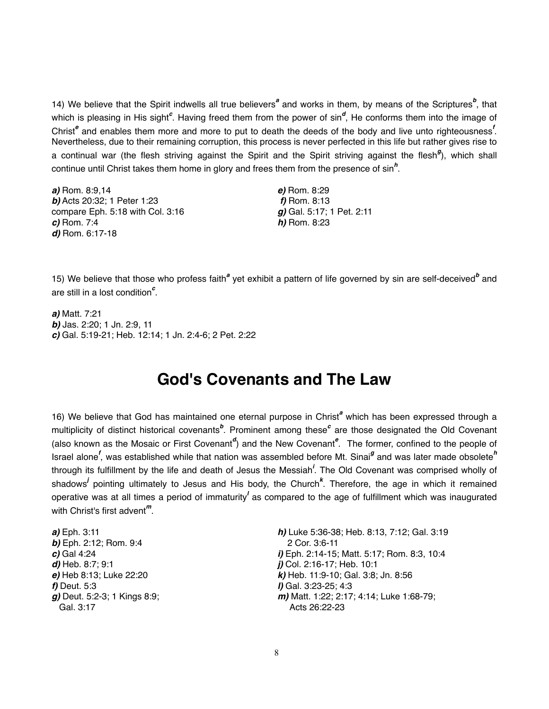14) We believe that the Spirit indwells all true believers<sup>a</sup> and works in them, by means of the Scriptures<sup>b</sup>, that which is pleasing in His sight<sup>c</sup>. Having freed them from the power of sin<sup>d</sup>, He conforms them into the image of Christ<sup>e</sup> and enables them more and more to put to death the deeds of the body and live unto righteousness<sup>*f*</sup>. Nevertheless, due to their remaining corruption, this process is never perfected in this life but rather gives rise to a continual war (the flesh striving against the Spirit and the Spirit striving against the flesh*<sup>g</sup>* ), which shall continue until Christ takes them home in glory and frees them from the presence of sin*<sup>h</sup>* .

*a)* Rom. 8:9,14 " " " " *e)* Rom. 8:29 **b)** Acts 20:32; 1 Peter 1:23 *f)* **Rom. 8:13** *g***) Gal. 5:17; 1 Pet. 2:11** compare Eph. 5:18 with Col. 3:16 *c)* Rom. 7:4 **! ! ! !** *h)* Rom. 8:23 *d)* Rom. 6:17-18

15) We believe that those who profess faith<sup>a</sup> yet exhibit a pattern of life governed by sin are self-deceived<sup>b</sup> and are still in a lost condition*<sup>c</sup>* .

*a)* Matt. 7:21 *b)* Jas. 2:20; 1 Jn. 2:9, 11 *c)* Gal. 5:19-21; Heb. 12:14; 1 Jn. 2:4-6; 2 Pet. 2:22

## **God's Covenants and The Law**

16) We believe that God has maintained one eternal purpose in Christ<sup>a</sup> which has been expressed through a multiplicity of distinct historical covenants<sup>b</sup>. Prominent among these<sup>c</sup> are those designated the Old Covenant (also known as the Mosaic or First Covenant<sup>d</sup>) and the New Covenant<sup>e</sup>. The former, confined to the people of Israel alone*<sup>f</sup>* , was established while that nation was assembled before Mt. Sinai*<sup>g</sup>* and was later made obsolete*<sup>h</sup>* through its fulfillment by the life and death of Jesus the Messiah*<sup>i</sup>* . The Old Covenant was comprised wholly of shadows<sup>*i*</sup> pointing ultimately to Jesus and His body, the Church<sup>k</sup>. Therefore, the age in which it remained operative was at all times a period of immaturity<sup>*l*</sup> as compared to the age of fulfillment which was inaugurated with Christ's first advent*<sup>m</sup>*.

**b)** Eph. 2:12; Rom. 9:4 " 2 Cor. 3:6-11 *d)* Heb. 8:7; 9:1 " " " " *j)* Col. 2:16-17; Heb. 10:1 *f)* Deut. 5:3 <br> *g)* Deut. 5:2-3; 1 Kings 8:9; <br> *g)* Deut. 5:2-3; 1 Kings 8:9; <br> **m)** Matt. 1:22; 2:17 Gal. 3:17 " Acts 26:22-23

*a*) Eph. 3:11 *h***)** Luke 5:36-38; Heb. 8:13, 7:12; Gal. 3:19 *c)* Gal 4:24 " " " " *i)* Eph. 2:14-15; Matt. 5:17; Rom. 8:3, 10:4 *e)* Heb 8:13; Luke 22:20 "" " " *k)* Heb. 11:9-10; Gal. 3:8; Jn. 8:56 *m*) Matt. 1:22; 2:17; 4:14; Luke 1:68-79;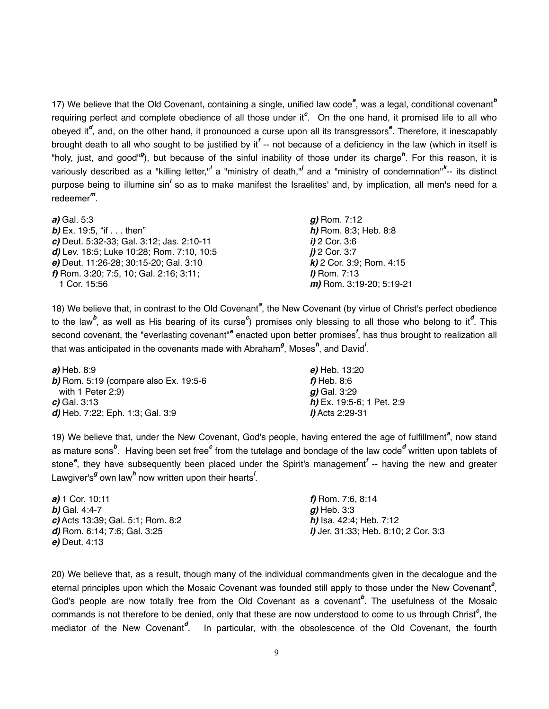17) We believe that the Old Covenant, containing a single, unified law code<sup>a</sup>, was a legal, conditional covenant<sup>b</sup> requiring perfect and complete obedience of all those under it<sup>c</sup>. On the one hand, it promised life to all who obeyed it<sup>d</sup>, and, on the other hand, it pronounced a curse upon all its transgressors<sup>e</sup>. Therefore, it inescapably brought death to all who sought to be justified by it<sup>f</sup> -- not because of a deficiency in the law (which in itself is "holy, just, and good"<sup>g</sup>), but because of the sinful inability of those under its charge<sup>h</sup>. For this reason, it is variously described as a "killing letter,"<sup>*i*</sup> a "ministry of death,"<sup>*i*</sup> and a "ministry of condemnation"<sup>k</sup>-- its distinct purpose being to illumine sin<sup>l</sup> so as to make manifest the Israelites' and, by implication, all men's need for a redeemer*<sup>m</sup>*.

| a) Gal. 5:3                               | $g$ ) Rom. 7:12             |
|-------------------------------------------|-----------------------------|
| <b>b)</b> Ex. 19:5, "if $\ldots$ then"    | h) Rom. 8:3; Heb. 8:8       |
| c) Deut. 5:32-33; Gal. 3:12; Jas. 2:10-11 | $i)$ 2 Cor. 3:6             |
| d) Lev. 18:5; Luke 10:28; Rom. 7:10, 10:5 | $i)$ 2 Cor. 3:7             |
| e) Deut. 11:26-28; 30:15-20; Gal. 3:10    | $k$ ) 2 Cor. 3:9; Rom. 4:15 |
| f) Rom. 3:20; 7:5, 10; Gal. 2:16; 3:11;   | $I)$ Rom. 7:13              |
| 1 Cor. 15:56                              | m) Rom. 3:19-20; 5:19-21    |

18) We believe that, in contrast to the Old Covenant<sup>a</sup>, the New Covenant (by virtue of Christ's perfect obedience to the law<sup>b</sup>, as well as His bearing of its curse<sup>c</sup>) promises only blessing to all those who belong to it<sup>d</sup>. This second covenant, the "everlasting covenant"<sup>e</sup> enacted upon better promises<sup>f</sup>, has thus brought to realization all that was anticipated in the covenants made with Abraham<sup>g</sup>, Moses<sup>h</sup>, and David<sup>*i*</sup>.

| a) Heb. 8:9                                  | e) Heb. 13:20                |
|----------------------------------------------|------------------------------|
| <b>b)</b> Rom. 5:19 (compare also Ex. 19:5-6 | f) Heb. 8:6                  |
| with 1 Peter $2:9$ )                         | <b>g)</b> Gal. 3:29          |
| $c)$ Gal. 3:13                               | $h$ ) Ex. 19:5-6; 1 Pet. 2:9 |
| d) Heb. 7:22; Eph. 1:3; Gal. 3:9             | <i>i</i> ) Acts 2:29-31      |

19) We believe that, under the New Covenant, God's people, having entered the age of fulfillment<sup>a</sup>, now stand as mature sons<sup>b</sup>. Having been set free<sup>c</sup> from the tutelage and bondage of the law code<sup>d</sup> written upon tablets of stone*<sup>e</sup>* , they have subsequently been placed under the Spirit's management*<sup>f</sup>* -- having the new and greater Lawgiver's<sup>g</sup> own law<sup>h</sup> now written upon their hearts<sup>*i*</sup>.

| a) 1 Cor. 10:11                   | f) Rom. 7:6, 8:14                            |
|-----------------------------------|----------------------------------------------|
| <b><i>b</i></b> ) Gal. 4:4-7      | $q$ ) Heb. 3:3                               |
| c) Acts 13:39; Gal. 5:1; Rom. 8:2 | <i>h</i> ) Isa. 42:4; Heb. 7:12              |
| d) Rom. 6:14; 7:6; Gal. 3:25      | <i>i</i> ) Jer. 31:33; Heb. 8:10; 2 Cor. 3:3 |
| e) Deut. 4:13                     |                                              |

20) We believe that, as a result, though many of the individual commandments given in the decalogue and the eternal principles upon which the Mosaic Covenant was founded still apply to those under the New Covenant<sup>a</sup>, God's people are now totally free from the Old Covenant as a covenant<sup>b</sup>. The usefulness of the Mosaic commands is not therefore to be denied, only that these are now understood to come to us through Christ<sup>c</sup>, the mediator of the New Covenant*<sup>d</sup>* . In particular, with the obsolescence of the Old Covenant, the fourth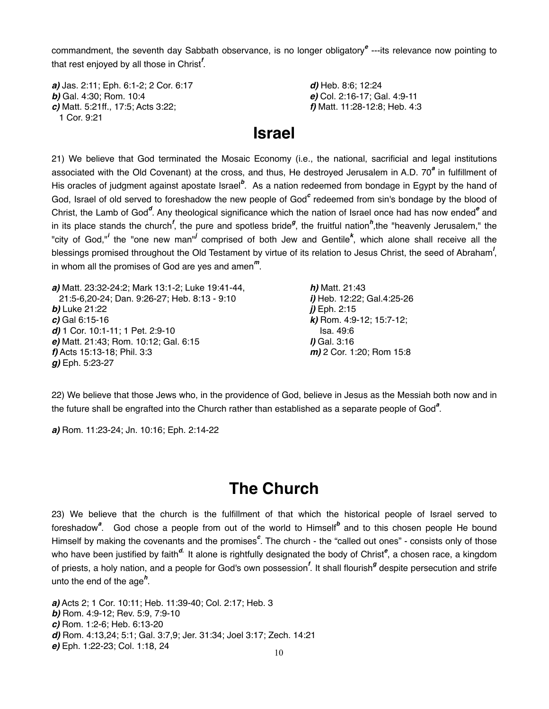commandment, the seventh day Sabbath observance, is no longer obligatory*<sup>e</sup>* ---its relevance now pointing to that rest enjoyed by all those in Christ*<sup>f</sup>* .

*a*) Jas. 2:11; Eph. 6:1-2; 2 Cor. 6:17 *d*) Heb. 8:6; 12:24 *b)* Gal. 4:30; Rom. 10:4 " " " " *e)* Col. 2:16-17; Gal. 4:9-11 *c)* Matt. 5:21ff., 17:5; Acts 3:22; " " " " *f)* Matt. 11:28-12:8; Heb. 4:3 1 Cor. 9:21

## **Israel**

21) We believe that God terminated the Mosaic Economy (i.e., the national, sacrificial and legal institutions associated with the Old Covenant) at the cross, and thus, He destroyed Jerusalem in A.D. 70<sup>ª</sup> in fulfillment of His oracles of judgment against apostate Israel<sup>b</sup>. As a nation redeemed from bondage in Egypt by the hand of God, Israel of old served to foreshadow the new people of God<sup>c</sup> redeemed from sin's bondage by the blood of Christ, the Lamb of God<sup>d</sup>. Any theological significance which the nation of Israel once had has now ended<sup>e</sup> and in its place stands the church<sup>f</sup>, the pure and spotless bride<sup>g</sup>, the fruitful nation<sup>h</sup>,the "heavenly Jerusalem," the "city of God,"<sup>*i*</sup> the "one new man"<sup>*i*</sup> comprised of both Jew and Gentile<sup>k</sup>, which alone shall receive all the blessings promised throughout the Old Testament by virtue of its relation to Jesus Christ, the seed of Abraham*<sup>l</sup>* , in whom all the promises of God are yes and amen*<sup>m</sup>*.

*a)* Matt. 23:32-24:2; Mark 13:1-2; Luke 19:41-44, " " *h)* Matt. 21:43 21:5-6,20-24; Dan. 9:26-27; Heb. 8:13 - 9:10 " " *i)* Heb. 12:22; Gal.4:25-26 *b)* Luke 21:22 " " " " *j)* Eph. 2:15 *c)* Gal 6:15-16 " " " " *k)* Rom. 4:9-12; 15:7-12; **d)** 1 Cor. 10:1-11; 1 Pet. 2:9-10 **ISA. 49:6** ISA. 49:6 *e*) Matt. 21:43; Rom. 10:12; Gal. 6:15 **// Gal. 3:16** *f)* Acts 15:13-18; Phil. 3:3 "" " " *m)* 2 Cor. 1:20; Rom 15:8 *g)* Eph. 5:23-27

22) We believe that those Jews who, in the providence of God, believe in Jesus as the Messiah both now and in the future shall be engrafted into the Church rather than established as a separate people of God<sup>a</sup>.

*a)* Rom. 11:23-24; Jn. 10:16; Eph. 2:14-22

## **The Church**

23) We believe that the church is the fulfillment of that which the historical people of Israel served to foreshadow<sup>a</sup>. God chose a people from out of the world to Himself<sup>b</sup> and to this chosen people He bound Himself by making the covenants and the promises<sup>c</sup>. The church - the "called out ones" - consists only of those who have been justified by faith<sup>a.</sup> It alone is rightfully designated the body of Christ<sup>e</sup>, a chosen race, a kingdom of priests, a holy nation, and a people for God's own possession*<sup>f</sup>* . It shall flourish*<sup>g</sup>* despite persecution and strife unto the end of the age*<sup>h</sup>* .

*a)* Acts 2; 1 Cor. 10:11; Heb. 11:39-40; Col. 2:17; Heb. 3 *b)* Rom. 4:9-12; Rev. 5:9, 7:9-10 *c)* Rom. 1:2-6; Heb. 6:13-20 *d)* Rom. 4:13,24; 5:1; Gal. 3:7,9; Jer. 31:34; Joel 3:17; Zech. 14:21 *e)* Eph. 1:22-23; Col. 1:18, 24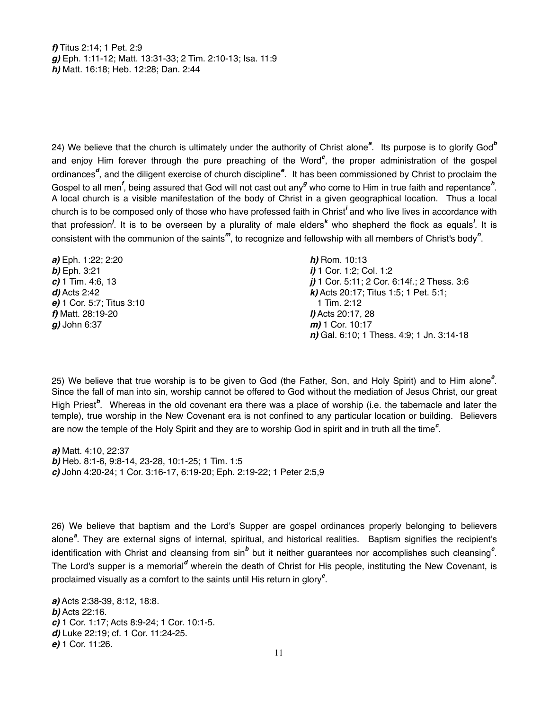*f)* Titus 2:14; 1 Pet. 2:9 *g)* Eph. 1:11-12; Matt. 13:31-33; 2 Tim. 2:10-13; Isa. 11:9 *h)* Matt. 16:18; Heb. 12:28; Dan. 2:44

24) We believe that the church is ultimately under the authority of Christ alone<sup>a</sup>. Its purpose is to glorify God<sup>b</sup> and enjoy Him forever through the pure preaching of the Word*<sup>c</sup>* , the proper administration of the gospel ordinances<sup>d</sup>, and the diligent exercise of church discipline<sup>e</sup>. It has been commissioned by Christ to proclaim the Gospel to all men<sup>f</sup>, being assured that God will not cast out any<sup>g</sup> who come to Him in true faith and repentance<sup>h</sup>. A local church is a visible manifestation of the body of Christ in a given geographical location. Thus a local church is to be composed only of those who have professed faith in Christ*<sup>i</sup>* and who live lives in accordance with that profession<sup>*i*</sup>. It is to be overseen by a plurality of male elders<sup>k</sup> who shepherd the flock as equals<sup>*!*</sup>. It is consistent with the communion of the saints*<sup>m</sup>*, to recognize and fellowship with all members of Christ's body*<sup>n</sup>* .

**a)** Eph. 1:22; 2:20 *h)* **Rom. 10:13 b)** Eph. 3:21 *i)* 1 Cor. 1:2; Col. 1:2 *e*) 1 Cor. 5:7; Titus 3:10 1 Tim. 2:12 *f)* Matt. 28:19-20 " " " " " *l)* Acts 20:17, 28 *g*) John 6:37 *m*) 1 Cor. 10:17

*c)* 1 Tim. 4:6, 13 " "  $j$ ) 1 Cor. 5:11; 2 Cor. 6:14f.; 2 Thess. 3:6 *d)* Acts 2:42 " " " " " *k)* Acts 20:17; Titus 1:5; 1 Pet. 5:1; n) Gal. 6:10; 1 Thess. 4:9; 1 Jn. 3:14-18

25) We believe that true worship is to be given to God (the Father, Son, and Holy Spirit) and to Him alone<sup>a</sup>. Since the fall of man into sin, worship cannot be offered to God without the mediation of Jesus Christ, our great High Priest<sup>b</sup>. Whereas in the old covenant era there was a place of worship (i.e. the tabernacle and later the temple), true worship in the New Covenant era is not confined to any particular location or building. Believers are now the temple of the Holy Spirit and they are to worship God in spirit and in truth all the time<sup>c</sup>.

*a)* Matt. 4:10, 22:37 *b)* Heb. 8:1-6, 9:8-14, 23-28, 10:1-25; 1 Tim. 1:5 *c)* John 4:20-24; 1 Cor. 3:16-17, 6:19-20; Eph. 2:19-22; 1 Peter 2:5,9

26) We believe that baptism and the Lord's Supper are gospel ordinances properly belonging to believers alone<sup>a</sup>. They are external signs of internal, spiritual, and historical realities. Baptism signifies the recipient's identification with Christ and cleansing from sin<sup>b</sup> but it neither guarantees nor accomplishes such cleansing<sup>c</sup>. The Lord's supper is a memorial<sup>d</sup> wherein the death of Christ for His people, instituting the New Covenant, is proclaimed visually as a comfort to the saints until His return in glory*<sup>e</sup>* .

*a)* Acts 2:38-39, 8:12, 18:8. *b)* Acts 22:16. *c)* 1 Cor. 1:17; Acts 8:9-24; 1 Cor. 10:1-5. *d)* Luke 22:19; cf. 1 Cor. 11:24-25. *e)* 1 Cor. 11:26.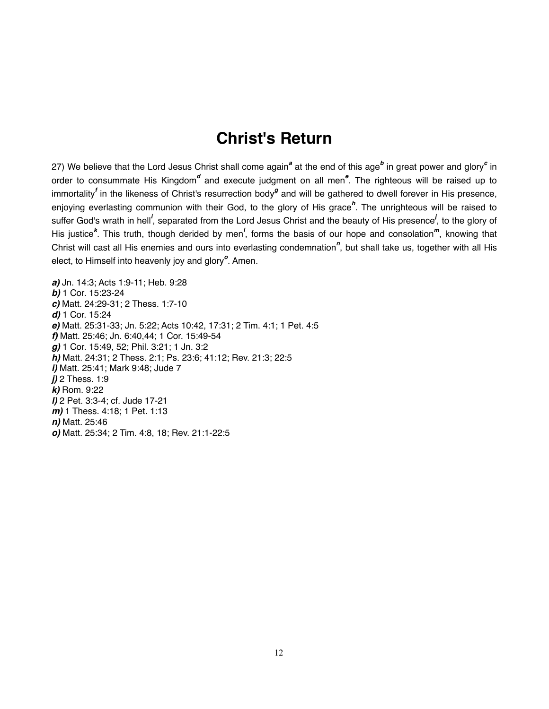## **Christ's Return**

27) We believe that the Lord Jesus Christ shall come again<sup>a</sup> at the end of this age<sup>b</sup> in great power and glory<sup>c</sup> in order to consummate His Kingdom<sup>d</sup> and execute judgment on all men<sup>e</sup>. The righteous will be raised up to immortality<sup>f</sup> in the likeness of Christ's resurrection body<sup>g</sup> and will be gathered to dwell forever in His presence, enjoying everlasting communion with their God, to the glory of His grace<sup>h</sup>. The unrighteous will be raised to suffer God's wrath in hell<sup>*i*</sup>, separated from the Lord Jesus Christ and the beauty of His presence<sup>*i*</sup>, to the glory of His justice<sup>k</sup>. This truth, though derided by men<sup>*l*</sup>, forms the basis of our hope and consolation<sup>m</sup>, knowing that Christ will cast all His enemies and ours into everlasting condemnation*<sup>n</sup>* , but shall take us, together with all His elect, to Himself into heavenly joy and glory<sup>o</sup>. Amen.

*a)* Jn. 14:3; Acts 1:9-11; Heb. 9:28 *b)* 1 Cor. 15:23-24 *c)* Matt. 24:29-31; 2 Thess. 1:7-10 *d)* 1 Cor. 15:24 *e)* Matt. 25:31-33; Jn. 5:22; Acts 10:42, 17:31; 2 Tim. 4:1; 1 Pet. 4:5 *f)* Matt. 25:46; Jn. 6:40,44; 1 Cor. 15:49-54 *g)* 1 Cor. 15:49, 52; Phil. 3:21; 1 Jn. 3:2 *h)* Matt. 24:31; 2 Thess. 2:1; Ps. 23:6; 41:12; Rev. 21:3; 22:5 *i)* Matt. 25:41; Mark 9:48; Jude 7 *j)* 2 Thess. 1:9 *k)* Rom. 9:22 *l)* 2 Pet. 3:3-4; cf. Jude 17-21 *m)* 1 Thess. 4:18; 1 Pet. 1:13 *n)* Matt. 25:46 *o)* Matt. 25:34; 2 Tim. 4:8, 18; Rev. 21:1-22:5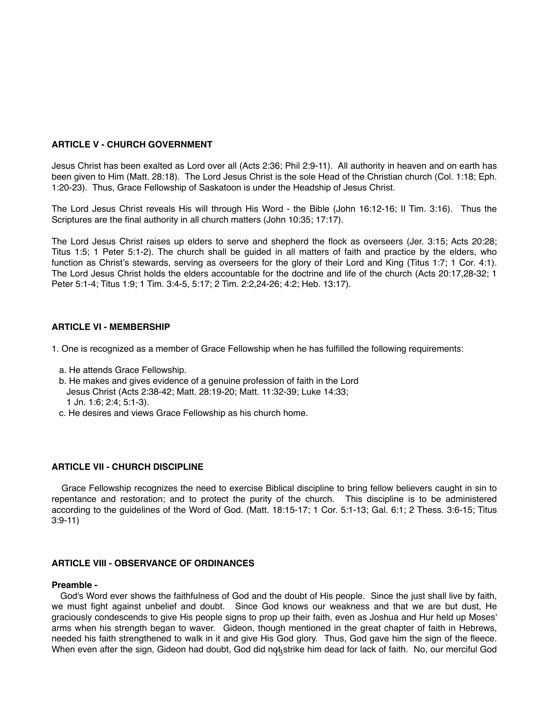### **ARTICLE V - CHURCH GOVERNMENT**

Jesus Christ has been exalted as Lord over all (Acts 2:36; Phil 2:9-11). All authority in heaven and on earth has been given to Him (Matt. 28:18). The Lord Jesus Christ is the sole Head of the Christian church (Col. 1:18; Eph. 1:20-23). Thus, Grace Fellowship of Saskatoon is under the Headship of Jesus Christ.

The Lord Jesus Christ reveals His will through His Word - the Bible (John 16:12-16; II Tim. 3:16). Thus the Scriptures are the final authority in all church matters (John 10:35; 17:17).

The Lord Jesus Christ raises up elders to serve and shepherd the flock as overseers (Jer. 3:15; Acts 20:28; Titus 1:5; 1 Peter 5:1-2). The church shall be guided in all matters of faith and practice by the elders, who function as Christ's stewards, serving as overseers for the glory of their Lord and King (Titus 1:7; 1 Cor. 4:1). The Lord Jesus Christ holds the elders accountable for the doctrine and life of the church (Acts 20:17,28-32; 1 Peter 5:1-4; Titus 1:9; 1 Tim. 3:4-5, 5:17; 2 Tim. 2:2,24-26; 4:2; Heb. 13:17).

### **ARTICLE VI - MEMBERSHIP**

1. One is recognized as a member of Grace Fellowship when he has fulfilled the following requirements:

- a. He attends Grace Fellowship.
- b. He makes and gives evidence of a genuine profession of faith in the Lord Jesus Christ (Acts 2:38-42; Matt. 28:19-20; Matt. 11:32-39; Luke 14:33; 1 Jn. 1:6; 2:4; 5:1-3).
- c. He desires and views Grace Fellowship as his church home.

### **ARTICLE VII - CHURCH DISCIPLINE**

Grace Fellowship recognizes the need to exercise Biblical discipline to bring fellow believers caught in sin to repentance and restoration; and to protect the purity of the church. This discipline is to be administered according to the guidelines of the Word of God. (Matt. 18:15-17; 1 Cor. 5:1-13; Gal. 6:1; 2 Thess. 3:6-15; Titus 3:9-11)

### **ARTICLE VIII - OBSERVANCE OF ORDINANCES**

#### **Preamble -**

When even after the sign, Gideon had doubt, God did not strike him dead for lack of faith. No, our merciful God God's Word ever shows the faithfulness of God and the doubt of His people. Since the just shall live by faith, we must fight against unbelief and doubt. Since God knows our weakness and that we are but dust, He graciously condescends to give His people signs to prop up their faith, even as Joshua and Hur held up Moses' arms when his strength began to waver. Gideon, though mentioned in the great chapter of faith in Hebrews, needed his faith strengthened to walk in it and give His God glory. Thus, God gave him the sign of the fleece.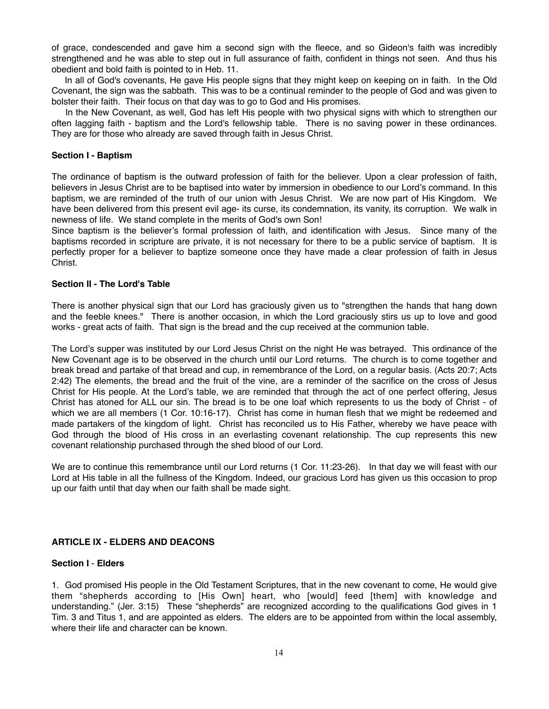of grace, condescended and gave him a second sign with the fleece, and so Gideon's faith was incredibly strengthened and he was able to step out in full assurance of faith, confident in things not seen. And thus his obedient and bold faith is pointed to in Heb. 11.

 In all of God's covenants, He gave His people signs that they might keep on keeping on in faith. In the Old Covenant, the sign was the sabbath. This was to be a continual reminder to the people of God and was given to bolster their faith. Their focus on that day was to go to God and His promises.

 In the New Covenant, as well, God has left His people with two physical signs with which to strengthen our often lagging faith - baptism and the Lord's fellowship table. There is no saving power in these ordinances. They are for those who already are saved through faith in Jesus Christ.

### **Section I - Baptism**

The ordinance of baptism is the outward profession of faith for the believer. Upon a clear profession of faith, believers in Jesus Christ are to be baptised into water by immersion in obedience to our Lord's command. In this baptism, we are reminded of the truth of our union with Jesus Christ. We are now part of His Kingdom. We have been delivered from this present evil age- its curse, its condemnation, its vanity, its corruption. We walk in newness of life. We stand complete in the merits of God's own Son!

Since baptism is the believer's formal profession of faith, and identification with Jesus. Since many of the baptisms recorded in scripture are private, it is not necessary for there to be a public service of baptism. It is perfectly proper for a believer to baptize someone once they have made a clear profession of faith in Jesus Christ.

#### **Section II - The Lord's Table**

There is another physical sign that our Lord has graciously given us to "strengthen the hands that hang down and the feeble knees." There is another occasion, in which the Lord graciously stirs us up to love and good works - great acts of faith. That sign is the bread and the cup received at the communion table.

The Lord's supper was instituted by our Lord Jesus Christ on the night He was betrayed. This ordinance of the New Covenant age is to be observed in the church until our Lord returns. The church is to come together and break bread and partake of that bread and cup, in remembrance of the Lord, on a regular basis. (Acts 20:7; Acts 2:42) The elements, the bread and the fruit of the vine, are a reminder of the sacrifice on the cross of Jesus Christ for His people. At the Lord's table, we are reminded that through the act of one perfect offering, Jesus Christ has atoned for ALL our sin. The bread is to be one loaf which represents to us the body of Christ - of which we are all members (1 Cor. 10:16-17). Christ has come in human flesh that we might be redeemed and made partakers of the kingdom of light. Christ has reconciled us to His Father, whereby we have peace with God through the blood of His cross in an everlasting covenant relationship. The cup represents this new covenant relationship purchased through the shed blood of our Lord.

We are to continue this remembrance until our Lord returns (1 Cor. 11:23-26). In that day we will feast with our Lord at His table in all the fullness of the Kingdom. Indeed, our gracious Lord has given us this occasion to prop up our faith until that day when our faith shall be made sight.

### **ARTICLE IX - ELDERS AND DEACONS**

#### **Section I** - **Elders**

1. God promised His people in the Old Testament Scriptures, that in the new covenant to come, He would give them "shepherds according to [His Own] heart, who [would] feed [them] with knowledge and understanding." (Jer. 3:15) These "shepherds" are recognized according to the qualifications God gives in 1 Tim. 3 and Titus 1, and are appointed as elders. The elders are to be appointed from within the local assembly, where their life and character can be known.